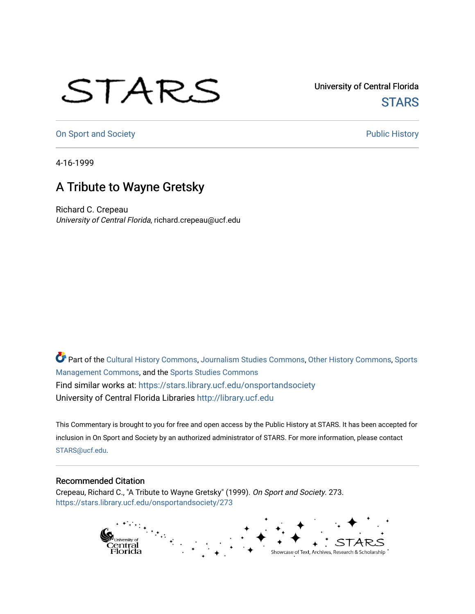## STARS

University of Central Florida **STARS** 

[On Sport and Society](https://stars.library.ucf.edu/onsportandsociety) **Public History** Public History

4-16-1999

## A Tribute to Wayne Gretsky

Richard C. Crepeau University of Central Florida, richard.crepeau@ucf.edu

Part of the [Cultural History Commons](http://network.bepress.com/hgg/discipline/496?utm_source=stars.library.ucf.edu%2Fonsportandsociety%2F273&utm_medium=PDF&utm_campaign=PDFCoverPages), [Journalism Studies Commons,](http://network.bepress.com/hgg/discipline/333?utm_source=stars.library.ucf.edu%2Fonsportandsociety%2F273&utm_medium=PDF&utm_campaign=PDFCoverPages) [Other History Commons,](http://network.bepress.com/hgg/discipline/508?utm_source=stars.library.ucf.edu%2Fonsportandsociety%2F273&utm_medium=PDF&utm_campaign=PDFCoverPages) [Sports](http://network.bepress.com/hgg/discipline/1193?utm_source=stars.library.ucf.edu%2Fonsportandsociety%2F273&utm_medium=PDF&utm_campaign=PDFCoverPages) [Management Commons](http://network.bepress.com/hgg/discipline/1193?utm_source=stars.library.ucf.edu%2Fonsportandsociety%2F273&utm_medium=PDF&utm_campaign=PDFCoverPages), and the [Sports Studies Commons](http://network.bepress.com/hgg/discipline/1198?utm_source=stars.library.ucf.edu%2Fonsportandsociety%2F273&utm_medium=PDF&utm_campaign=PDFCoverPages) Find similar works at: <https://stars.library.ucf.edu/onsportandsociety> University of Central Florida Libraries [http://library.ucf.edu](http://library.ucf.edu/) 

This Commentary is brought to you for free and open access by the Public History at STARS. It has been accepted for inclusion in On Sport and Society by an authorized administrator of STARS. For more information, please contact [STARS@ucf.edu](mailto:STARS@ucf.edu).

## Recommended Citation

Crepeau, Richard C., "A Tribute to Wayne Gretsky" (1999). On Sport and Society. 273. [https://stars.library.ucf.edu/onsportandsociety/273](https://stars.library.ucf.edu/onsportandsociety/273?utm_source=stars.library.ucf.edu%2Fonsportandsociety%2F273&utm_medium=PDF&utm_campaign=PDFCoverPages)

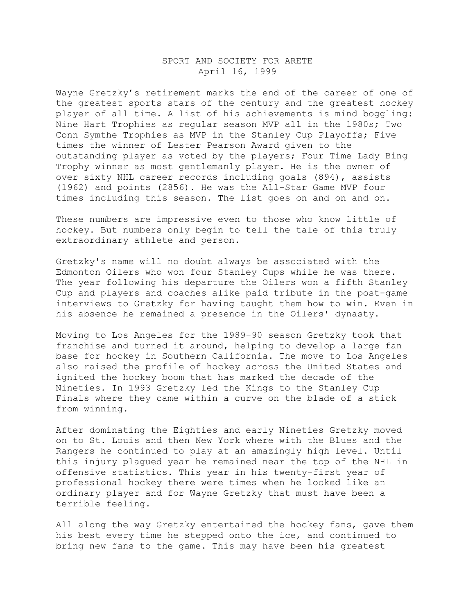## SPORT AND SOCIETY FOR ARETE April 16, 1999

Wayne Gretzky's retirement marks the end of the career of one of the greatest sports stars of the century and the greatest hockey player of all time. A list of his achievements is mind boggling: Nine Hart Trophies as regular season MVP all in the 1980s; Two Conn Symthe Trophies as MVP in the Stanley Cup Playoffs; Five times the winner of Lester Pearson Award given to the outstanding player as voted by the players; Four Time Lady Bing Trophy winner as most gentlemanly player. He is the owner of over sixty NHL career records including goals (894), assists (1962) and points (2856). He was the All-Star Game MVP four times including this season. The list goes on and on and on.

These numbers are impressive even to those who know little of hockey. But numbers only begin to tell the tale of this truly extraordinary athlete and person.

Gretzky's name will no doubt always be associated with the Edmonton Oilers who won four Stanley Cups while he was there. The year following his departure the Oilers won a fifth Stanley Cup and players and coaches alike paid tribute in the post-game interviews to Gretzky for having taught them how to win. Even in his absence he remained a presence in the Oilers' dynasty.

Moving to Los Angeles for the 1989-90 season Gretzky took that franchise and turned it around, helping to develop a large fan base for hockey in Southern California. The move to Los Angeles also raised the profile of hockey across the United States and ignited the hockey boom that has marked the decade of the Nineties. In 1993 Gretzky led the Kings to the Stanley Cup Finals where they came within a curve on the blade of a stick from winning.

After dominating the Eighties and early Nineties Gretzky moved on to St. Louis and then New York where with the Blues and the Rangers he continued to play at an amazingly high level. Until this injury plagued year he remained near the top of the NHL in offensive statistics. This year in his twenty-first year of professional hockey there were times when he looked like an ordinary player and for Wayne Gretzky that must have been a terrible feeling.

All along the way Gretzky entertained the hockey fans, gave them his best every time he stepped onto the ice, and continued to bring new fans to the game. This may have been his greatest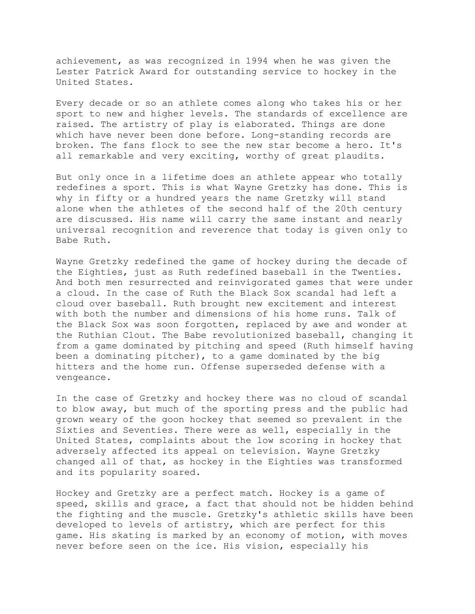achievement, as was recognized in 1994 when he was given the Lester Patrick Award for outstanding service to hockey in the United States.

Every decade or so an athlete comes along who takes his or her sport to new and higher levels. The standards of excellence are raised. The artistry of play is elaborated. Things are done which have never been done before. Long-standing records are broken. The fans flock to see the new star become a hero. It's all remarkable and very exciting, worthy of great plaudits.

But only once in a lifetime does an athlete appear who totally redefines a sport. This is what Wayne Gretzky has done. This is why in fifty or a hundred years the name Gretzky will stand alone when the athletes of the second half of the 20th century are discussed. His name will carry the same instant and nearly universal recognition and reverence that today is given only to Babe Ruth.

Wayne Gretzky redefined the game of hockey during the decade of the Eighties, just as Ruth redefined baseball in the Twenties. And both men resurrected and reinvigorated games that were under a cloud. In the case of Ruth the Black Sox scandal had left a cloud over baseball. Ruth brought new excitement and interest with both the number and dimensions of his home runs. Talk of the Black Sox was soon forgotten, replaced by awe and wonder at the Ruthian Clout. The Babe revolutionized baseball, changing it from a game dominated by pitching and speed (Ruth himself having been a dominating pitcher), to a game dominated by the big hitters and the home run. Offense superseded defense with a vengeance.

In the case of Gretzky and hockey there was no cloud of scandal to blow away, but much of the sporting press and the public had grown weary of the goon hockey that seemed so prevalent in the Sixties and Seventies. There were as well, especially in the United States, complaints about the low scoring in hockey that adversely affected its appeal on television. Wayne Gretzky changed all of that, as hockey in the Eighties was transformed and its popularity soared.

Hockey and Gretzky are a perfect match. Hockey is a game of speed, skills and grace, a fact that should not be hidden behind the fighting and the muscle. Gretzky's athletic skills have been developed to levels of artistry, which are perfect for this game. His skating is marked by an economy of motion, with moves never before seen on the ice. His vision, especially his